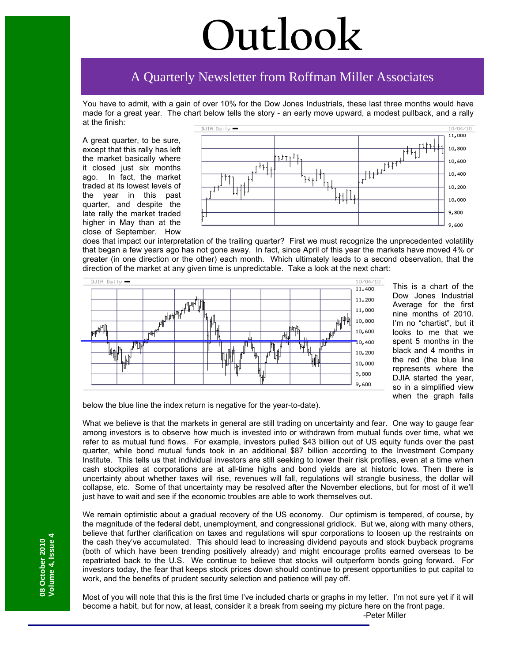# **Outlook**

## A Quarterly Newsletter from Roffman Miller Associates

You have to admit, with a gain of over 10% for the Dow Jones Industrials, these last three months would have made for a great year. The chart below tells the story - an early move upward, a modest pullback, and a rally at the finish:

A great quarter, to be sure, except that this rally has left the market basically where it closed just six months ago. In fact, the market traded at its lowest levels of the year in this past quarter, and despite the late rally the market traded higher in May than at the close of September. How



does that impact our interpretation of the trailing quarter? First we must recognize the unprecedented volatility that began a few years ago has not gone away. In fact, since April of this year the markets have moved 4% or greater (in one direction or the other) each month. Which ultimately leads to a second observation, that the direction of the market at any given time is unpredictable. Take a look at the next chart:



This is a chart of the Dow Jones Industrial Average for the first nine months of 2010. I'm no "chartist", but it looks to me that we spent 5 months in the black and 4 months in the red (the blue line represents where the DJIA started the year, so in a simplified view when the graph falls

below the blue line the index return is negative for the year-to-date).

What we believe is that the markets in general are still trading on uncertainty and fear. One way to gauge fear among investors is to observe how much is invested into or withdrawn from mutual funds over time, what we refer to as mutual fund flows. For example, investors pulled \$43 billion out of US equity funds over the past quarter, while bond mutual funds took in an additional \$87 billion according to the Investment Company Institute. This tells us that individual investors are still seeking to lower their risk profiles, even at a time when cash stockpiles at corporations are at all-time highs and bond yields are at historic lows. Then there is uncertainty about whether taxes will rise, revenues will fall, regulations will strangle business, the dollar will collapse, etc. Some of that uncertainty may be resolved after the November elections, but for most of it we'll just have to wait and see if the economic troubles are able to work themselves out.

We remain optimistic about a gradual recovery of the US economy. Our optimism is tempered, of course, by the magnitude of the federal debt, unemployment, and congressional gridlock. But we, along with many others, believe that further clarification on taxes and regulations will spur corporations to loosen up the restraints on the cash they've accumulated. This should lead to increasing dividend payouts and stock buyback programs (both of which have been trending positively already) and might encourage profits earned overseas to be repatriated back to the U.S. We continue to believe that stocks will outperform bonds going forward. For investors today, the fear that keeps stock prices down should continue to present opportunities to put capital to work, and the benefits of prudent security selection and patience will pay off.

Most of you will note that this is the first time I've included charts or graphs in my letter. I'm not sure yet if it will become a habit, but for now, at least, consider it a break from seeing my picture here on the front page. -Peter Miller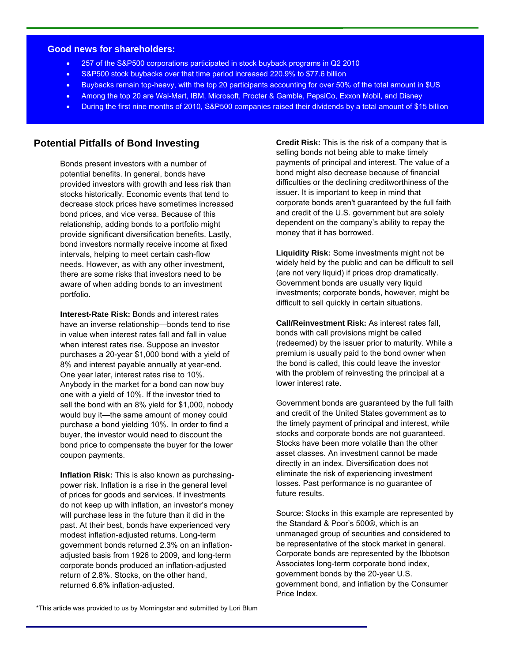#### **Good news for shareholders:**

- 257 of the S&P500 corporations participated in stock buyback programs in Q2 2010
- S&P500 stock buybacks over that time period increased 220.9% to \$77.6 billion
- Buybacks remain top-heavy, with the top 20 participants accounting for over 50% of the total amount in \$US
- Among the top 20 are Wal-Mart, IBM, Microsoft, Procter & Gamble, PepsiCo, Exxon Mobil, and Disney
- During the first nine months of 2010, S&P500 companies raised their dividends by a total amount of \$15 billion

## **Potential Pitfalls of Bond Investing**

Bonds present investors with a number of potential benefits. In general, bonds have provided investors with growth and less risk than stocks historically. Economic events that tend to decrease stock prices have sometimes increased bond prices, and vice versa. Because of this relationship, adding bonds to a portfolio might provide significant diversification benefits. Lastly, bond investors normally receive income at fixed intervals, helping to meet certain cash-flow needs. However, as with any other investment, there are some risks that investors need to be aware of when adding bonds to an investment portfolio.

**Interest-Rate Risk:** Bonds and interest rates have an inverse relationship—bonds tend to rise in value when interest rates fall and fall in value when interest rates rise. Suppose an investor purchases a 20-year \$1,000 bond with a yield of 8% and interest payable annually at year-end. One year later, interest rates rise to 10%. Anybody in the market for a bond can now buy one with a yield of 10%. If the investor tried to sell the bond with an 8% yield for \$1,000, nobody would buy it—the same amount of money could purchase a bond yielding 10%. In order to find a buyer, the investor would need to discount the bond price to compensate the buyer for the lower coupon payments.

**Inflation Risk:** This is also known as purchasingpower risk. Inflation is a rise in the general level of prices for goods and services. If investments do not keep up with inflation, an investor's money will purchase less in the future than it did in the past. At their best, bonds have experienced very modest inflation-adjusted returns. Long-term government bonds returned 2.3% on an inflationadjusted basis from 1926 to 2009, and long-term corporate bonds produced an inflation-adjusted return of 2.8%. Stocks, on the other hand, returned 6.6% inflation-adjusted.

**Credit Risk:** This is the risk of a company that is selling bonds not being able to make timely payments of principal and interest. The value of a bond might also decrease because of financial difficulties or the declining creditworthiness of the issuer. It is important to keep in mind that corporate bonds aren't guaranteed by the full faith and credit of the U.S. government but are solely dependent on the company's ability to repay the money that it has borrowed.

**Liquidity Risk:** Some investments might not be widely held by the public and can be difficult to sell (are not very liquid) if prices drop dramatically. Government bonds are usually very liquid investments; corporate bonds, however, might be difficult to sell quickly in certain situations.

**Call/Reinvestment Risk:** As interest rates fall, bonds with call provisions might be called (redeemed) by the issuer prior to maturity. While a premium is usually paid to the bond owner when the bond is called, this could leave the investor with the problem of reinvesting the principal at a lower interest rate.

Government bonds are guaranteed by the full faith and credit of the United States government as to the timely payment of principal and interest, while stocks and corporate bonds are not guaranteed. Stocks have been more volatile than the other asset classes. An investment cannot be made directly in an index. Diversification does not eliminate the risk of experiencing investment losses. Past performance is no guarantee of future results.

Source: Stocks in this example are represented by the Standard & Poor's 500®, which is an unmanaged group of securities and considered to be representative of the stock market in general. Corporate bonds are represented by the Ibbotson Associates long-term corporate bond index, government bonds by the 20-year U.S. government bond, and inflation by the Consumer Price Index.

\*This article was provided to us by Morningstar and submitted by Lori Blum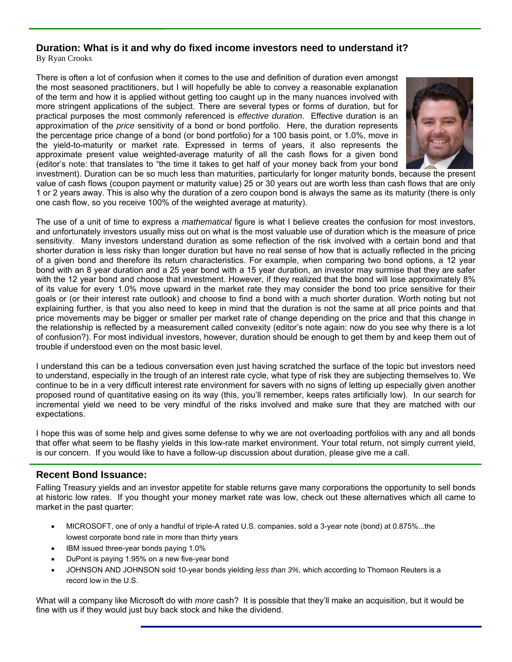## **Duration: What is it and why do fixed income investors need to understand it?**

By Ryan Crooks

There is often a lot of confusion when it comes to the use and definition of duration even amongst the most seasoned practitioners, but I will hopefully be able to convey a reasonable explanation of the term and how it is applied without getting too caught up in the many nuances involved with more stringent applications of the subject. There are several types or forms of duration, but for practical purposes the most commonly referenced is *effective duration*. Effective duration is an approximation of the *price* sensitivity of a bond or bond portfolio. Here, the duration represents the percentage price change of a bond (or bond portfolio) for a 100 basis point, or 1.0%, move in the yield-to-maturity or market rate. Expressed in terms of years, it also represents the approximate present value weighted-average maturity of all the cash flows for a given bond (editor's note: that translates to "the time it takes to get half of your money back from your bond



investment). Duration can be so much less than maturities, particularly for longer maturity bonds, because the present value of cash flows (coupon payment or maturity value) 25 or 30 years out are worth less than cash flows that are only 1 or 2 years away. This is also why the duration of a zero coupon bond is always the same as its maturity (there is only one cash flow, so you receive 100% of the weighted average at maturity).

The use of a unit of time to express a *mathematical* figure is what I believe creates the confusion for most investors, and unfortunately investors usually miss out on what is the most valuable use of duration which is the measure of price sensitivity. Many investors understand duration as some reflection of the risk involved with a certain bond and that shorter duration is less risky than longer duration but have no real sense of how that is actually reflected in the pricing of a given bond and therefore its return characteristics. For example, when comparing two bond options, a 12 year bond with an 8 year duration and a 25 year bond with a 15 year duration, an investor may surmise that they are safer with the 12 year bond and choose that investment. However, if they realized that the bond will lose approximately 8% of its value for every 1.0% move upward in the market rate they may consider the bond too price sensitive for their goals or (or their interest rate outlook) and choose to find a bond with a much shorter duration. Worth noting but not explaining further, is that you also need to keep in mind that the duration is not the same at all price points and that price movements may be bigger or smaller per market rate of change depending on the price and that this change in the relationship is reflected by a measurement called convexity (editor's note again: now do you see why there is a lot of confusion?). For most individual investors, however, duration should be enough to get them by and keep them out of trouble if understood even on the most basic level.

I understand this can be a tedious conversation even just having scratched the surface of the topic but investors need to understand, especially in the trough of an interest rate cycle, what type of risk they are subjecting themselves to. We continue to be in a very difficult interest rate environment for savers with no signs of letting up especially given another proposed round of quantitative easing on its way (this, you'll remember, keeps rates artificially low). In our search for incremental yield we need to be very mindful of the risks involved and make sure that they are matched with our expectations.

I hope this was of some help and gives some defense to why we are not overloading portfolios with any and all bonds that offer what seem to be flashy yields in this low-rate market environment. Your total return, not simply current yield, is our concern. If you would like to have a follow-up discussion about duration, please give me a call.

## **Recent Bond Issuance:**

Falling Treasury yields and an investor appetite for stable returns gave many corporations the opportunity to sell bonds at historic low rates. If you thought your money market rate was low, check out these alternatives which all came to market in the past quarter:

- MICROSOFT, one of only a handful of triple-A rated U.S. companies, sold a 3-year note (bond) at 0.875%...the lowest corporate bond rate in more than thirty years
- IBM issued three-year bonds paying 1.0%
- DuPont is paying 1.95% on a new five-year bond
- JOHNSON AND JOHNSON sold 10-year bonds yielding *less than 3%*, which according to Thomson Reuters is a record low in the U.S.

What will a company like Microsoft do with *more* cash? It is possible that they'll make an acquisition, but it would be fine with us if they would just buy back stock and hike the dividend.